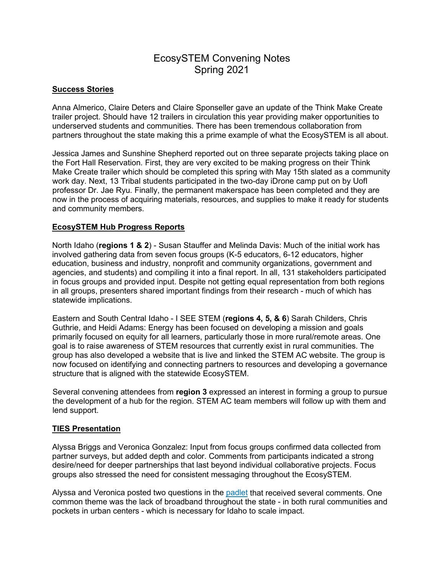# EcosySTEM Convening Notes Spring 2021

# **Success Stories**

Anna Almerico, Claire Deters and Claire Sponseller gave an update of the Think Make Create trailer project. Should have 12 trailers in circulation this year providing maker opportunities to underserved students and communities. There has been tremendous collaboration from partners throughout the state making this a prime example of what the EcosySTEM is all about.

Jessica James and Sunshine Shepherd reported out on three separate projects taking place on the Fort Hall Reservation. First, they are very excited to be making progress on their Think Make Create trailer which should be completed this spring with May 15th slated as a community work day. Next, 13 Tribal students participated in the two-day iDrone camp put on by UofI professor Dr. Jae Ryu. Finally, the permanent makerspace has been completed and they are now in the process of acquiring materials, resources, and supplies to make it ready for students and community members.

# **EcosySTEM Hub Progress Reports**

North Idaho (**regions 1 & 2**) - Susan Stauffer and Melinda Davis: Much of the initial work has involved gathering data from seven focus groups (K-5 educators, 6-12 educators, higher education, business and industry, nonprofit and community organizations, government and agencies, and students) and compiling it into a final report. In all, 131 stakeholders participated in focus groups and provided input. Despite not getting equal representation from both regions in all groups, presenters shared important findings from their research - much of which has statewide implications.

Eastern and South Central Idaho - I SEE STEM (**regions 4, 5, & 6**) Sarah Childers, Chris Guthrie, and Heidi Adams: Energy has been focused on developing a mission and goals primarily focused on equity for all learners, particularly those in more rural/remote areas. One goal is to raise awareness of STEM resources that currently exist in rural communities. The group has also developed a website that is live and linked the STEM AC website. The group is now focused on identifying and connecting partners to resources and developing a governance structure that is aligned with the statewide EcosySTEM.

Several convening attendees from **region 3** expressed an interest in forming a group to pursue the development of a hub for the region. STEM AC team members will follow up with them and lend support.

# **TIES Presentation**

Alyssa Briggs and Veronica Gonzalez: Input from focus groups confirmed data collected from partner surveys, but added depth and color. Comments from participants indicated a strong desire/need for deeper partnerships that last beyond individual collaborative projects. Focus groups also stressed the need for consistent messaging throughout the EcosySTEM.

Alyssa and Veronica posted two questions in the [padlet](https://padlet.com/crispingravatt/8qmu4yjwqmht1qzf) that received several comments. One common theme was the lack of broadband throughout the state - in both rural communities and pockets in urban centers - which is necessary for Idaho to scale impact.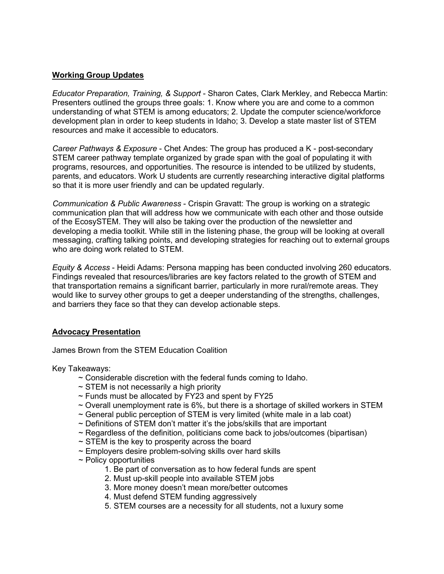# **Working Group Updates**

*Educator Preparation, Training, & Support* - Sharon Cates, Clark Merkley, and Rebecca Martin: Presenters outlined the groups three goals: 1. Know where you are and come to a common understanding of what STEM is among educators; 2. Update the computer science/workforce development plan in order to keep students in Idaho; 3. Develop a state master list of STEM resources and make it accessible to educators.

*Career Pathways & Exposure* - Chet Andes: The group has produced a K - post-secondary STEM career pathway template organized by grade span with the goal of populating it with programs, resources, and opportunities. The resource is intended to be utilized by students, parents, and educators. Work U students are currently researching interactive digital platforms so that it is more user friendly and can be updated regularly.

*Communication & Public Awareness* - Crispin Gravatt: The group is working on a strategic communication plan that will address how we communicate with each other and those outside of the EcosySTEM. They will also be taking over the production of the newsletter and developing a media toolkit. While still in the listening phase, the group will be looking at overall messaging, crafting talking points, and developing strategies for reaching out to external groups who are doing work related to STEM.

*Equity & Access* - Heidi Adams: Persona mapping has been conducted involving 260 educators. Findings revealed that resources/libraries are key factors related to the growth of STEM and that transportation remains a significant barrier, particularly in more rural/remote areas. They would like to survey other groups to get a deeper understanding of the strengths, challenges, and barriers they face so that they can develop actionable steps.

# **Advocacy Presentation**

James Brown from the STEM Education Coalition

Key Takeaways:

- $\sim$  Considerable discretion with the federal funds coming to Idaho.
- $\sim$  STEM is not necessarily a high priority
- $\sim$  Funds must be allocated by FY23 and spent by FY25
- $\sim$  Overall unemployment rate is 6%, but there is a shortage of skilled workers in STEM
- $\sim$  General public perception of STEM is very limited (white male in a lab coat)
- ~ Definitions of STEM don't matter it's the jobs/skills that are important
- $\sim$  Regardless of the definition, politicians come back to jobs/outcomes (bipartisan)
- $\sim$  STEM is the key to prosperity across the board
- ~ Employers desire problem-solving skills over hard skills
- ~ Policy opportunities
	- 1. Be part of conversation as to how federal funds are spent
	- 2. Must up-skill people into available STEM jobs
	- 3. More money doesn't mean more/better outcomes
	- 4. Must defend STEM funding aggressively
	- 5. STEM courses are a necessity for all students, not a luxury some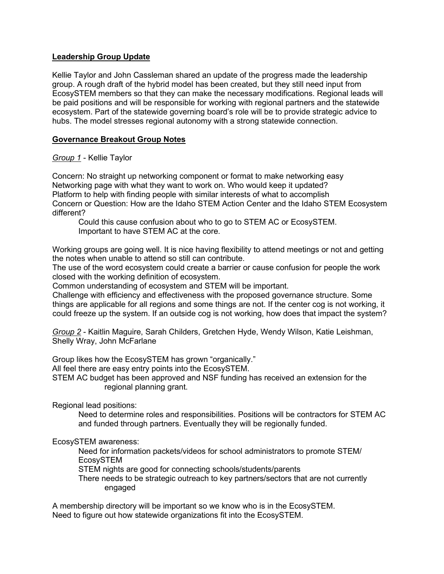# **Leadership Group Update**

Kellie Taylor and John Cassleman shared an update of the progress made the leadership group. A rough draft of the hybrid model has been created, but they still need input from EcosySTEM members so that they can make the necessary modifications. Regional leads will be paid positions and will be responsible for working with regional partners and the statewide ecosystem. Part of the statewide governing board's role will be to provide strategic advice to hubs. The model stresses regional autonomy with a strong statewide connection.

# **Governance Breakout Group Notes**

# *Group 1* - Kellie Taylor

Concern: No straight up networking component or format to make networking easy Networking page with what they want to work on. Who would keep it updated? Platform to help with finding people with similar interests of what to accomplish Concern or Question: How are the Idaho STEM Action Center and the Idaho STEM Ecosystem different?

Could this cause confusion about who to go to STEM AC or EcosySTEM. Important to have STEM AC at the core.

Working groups are going well. It is nice having flexibility to attend meetings or not and getting the notes when unable to attend so still can contribute.

The use of the word ecosystem could create a barrier or cause confusion for people the work closed with the working definition of ecosystem.

Common understanding of ecosystem and STEM will be important.

Challenge with efficiency and effectiveness with the proposed governance structure. Some things are applicable for all regions and some things are not. If the center cog is not working, it could freeze up the system. If an outside cog is not working, how does that impact the system?

*Group 2* - Kaitlin Maguire, Sarah Childers, Gretchen Hyde, Wendy Wilson, Katie Leishman, Shelly Wray, John McFarlane

Group likes how the EcosySTEM has grown "organically."

All feel there are easy entry points into the EcosySTEM.

STEM AC budget has been approved and NSF funding has received an extension for the regional planning grant.

Regional lead positions:

Need to determine roles and responsibilities. Positions will be contractors for STEM AC and funded through partners. Eventually they will be regionally funded.

# EcosySTEM awareness:

Need for information packets/videos for school administrators to promote STEM/ EcosySTEM

STEM nights are good for connecting schools/students/parents

There needs to be strategic outreach to key partners/sectors that are not currently engaged

A membership directory will be important so we know who is in the EcosySTEM. Need to figure out how statewide organizations fit into the EcosySTEM.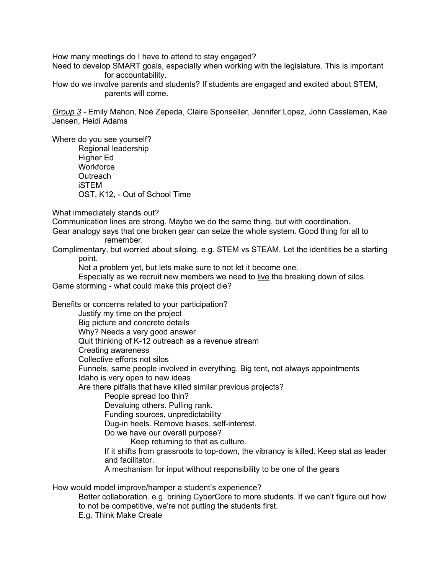How many meetings do I have to attend to stay engaged?

Need to develop SMART goals, especially when working with the legislature. This is important for accountability.

How do we involve parents and students? If students are engaged and excited about STEM, parents will come.

*Group 3 -* Emily Mahon, Noé Zepeda, Claire Sponseller, Jennifer Lopez, John Cassleman, Kae Jensen, Heidi Adams

Where do you see yourself? Regional leadership Higher Ed **Workforce Outreach** iSTEM OST, K12, - Out of School Time

What immediately stands out?

Communication lines are strong. Maybe we do the same thing, but with coordination.

Gear analogy says that one broken gear can seize the whole system. Good thing for all to remember.

Complimentary, but worried about siloing, e.g. STEM vs STEAM. Let the identities be a starting point.

Not a problem yet, but lets make sure to not let it become one.

Especially as we recruit new members we need to live the breaking down of silos. Game storming - what could make this project die?

Benefits or concerns related to your participation?

Justify my time on the project Big picture and concrete details Why? Needs a very good answer Quit thinking of K-12 outreach as a revenue stream Creating awareness Collective efforts not silos Funnels, same people involved in everything. Big tent, not always appointments Idaho is very open to new ideas Are there pitfalls that have killed similar previous projects? People spread too thin? Devaluing others. Pulling rank. Funding sources, unpredictability

Dug-in heels. Remove biases, self-interest.

Do we have our overall purpose?

Keep returning to that as culture.

If it shifts from grassroots to top-down, the vibrancy is killed. Keep stat as leader and facilitator.

A mechanism for input without responsibility to be one of the gears

How would model improve/hamper a student's experience?

Better collaboration. e.g. brining CyberCore to more students. If we can't figure out how to not be competitive, we're not putting the students first. E.g. Think Make Create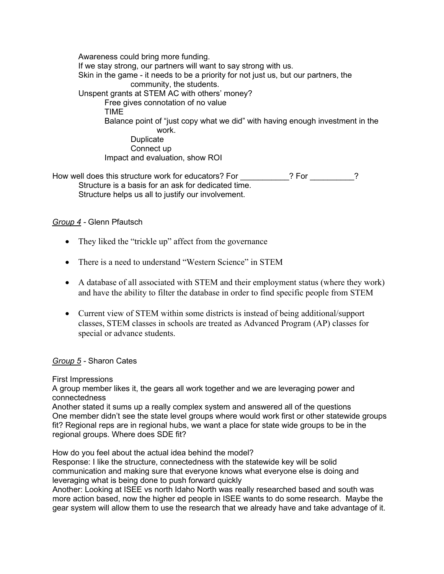Awareness could bring more funding. If we stay strong, our partners will want to say strong with us. Skin in the game - it needs to be a priority for not just us, but our partners, the community, the students. Unspent grants at STEM AC with others' money? Free gives connotation of no value TIME Balance point of "just copy what we did" with having enough investment in the work. Duplicate Connect up Impact and evaluation, show ROI

How well does this structure work for educators? For **The Structure 19 and 19 and 19 and 19 and 19 and 19 and 1** Structure is a basis for an ask for dedicated time. Structure helps us all to justify our involvement.

# *Group 4 -* Glenn Pfautsch

- They liked the "trickle up" affect from the governance
- There is a need to understand "Western Science" in STEM
- A database of all associated with STEM and their employment status (where they work) and have the ability to filter the database in order to find specific people from STEM
- Current view of STEM within some districts is instead of being additional/support classes, STEM classes in schools are treated as Advanced Program (AP) classes for special or advance students.

# *Group 5 -* Sharon Cates

First Impressions

A group member likes it, the gears all work together and we are leveraging power and connectedness

Another stated it sums up a really complex system and answered all of the questions One member didn't see the state level groups where would work first or other statewide groups fit? Regional reps are in regional hubs, we want a place for state wide groups to be in the regional groups. Where does SDE fit?

How do you feel about the actual idea behind the model?

Response: I like the structure, connectedness with the statewide key will be solid communication and making sure that everyone knows what everyone else is doing and leveraging what is being done to push forward quickly

Another: Looking at ISEE vs north Idaho North was really researched based and south was more action based, now the higher ed people in ISEE wants to do some research. Maybe the gear system will allow them to use the research that we already have and take advantage of it.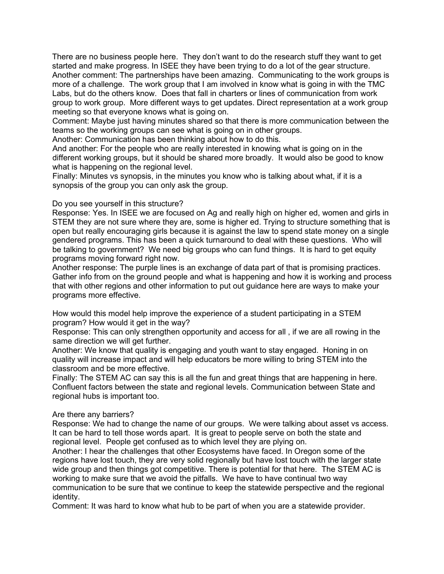There are no business people here. They don't want to do the research stuff they want to get started and make progress. In ISEE they have been trying to do a lot of the gear structure. Another comment: The partnerships have been amazing. Communicating to the work groups is more of a challenge. The work group that I am involved in know what is going in with the TMC Labs, but do the others know. Does that fall in charters or lines of communication from work group to work group. More different ways to get updates. Direct representation at a work group meeting so that everyone knows what is going on.

Comment: Maybe just having minutes shared so that there is more communication between the teams so the working groups can see what is going on in other groups.

Another: Communication has been thinking about how to do this.

And another: For the people who are really interested in knowing what is going on in the different working groups, but it should be shared more broadly. It would also be good to know what is happening on the regional level.

Finally: Minutes vs synopsis, in the minutes you know who is talking about what, if it is a synopsis of the group you can only ask the group.

### Do you see yourself in this structure?

Response: Yes. In ISEE we are focused on Ag and really high on higher ed, women and girls in STEM they are not sure where they are, some is higher ed. Trying to structure something that is open but really encouraging girls because it is against the law to spend state money on a single gendered programs. This has been a quick turnaround to deal with these questions. Who will be talking to government? We need big groups who can fund things. It is hard to get equity programs moving forward right now.

Another response: The purple lines is an exchange of data part of that is promising practices. Gather info from on the ground people and what is happening and how it is working and process that with other regions and other information to put out guidance here are ways to make your programs more effective.

How would this model help improve the experience of a student participating in a STEM program? How would it get in the way?

Response: This can only strengthen opportunity and access for all , if we are all rowing in the same direction we will get further.

Another: We know that quality is engaging and youth want to stay engaged. Honing in on quality will increase impact and will help educators be more willing to bring STEM into the classroom and be more effective.

Finally: The STEM AC can say this is all the fun and great things that are happening in here. Confluent factors between the state and regional levels. Communication between State and regional hubs is important too.

### Are there any barriers?

Response: We had to change the name of our groups. We were talking about asset vs access. It can be hard to tell those words apart. It is great to people serve on both the state and regional level. People get confused as to which level they are plying on.

Another: I hear the challenges that other Ecosystems have faced. In Oregon some of the regions have lost touch, they are very solid regionally but have lost touch with the larger state wide group and then things got competitive. There is potential for that here. The STEM AC is working to make sure that we avoid the pitfalls. We have to have continual two way communication to be sure that we continue to keep the statewide perspective and the regional identity.

Comment: It was hard to know what hub to be part of when you are a statewide provider.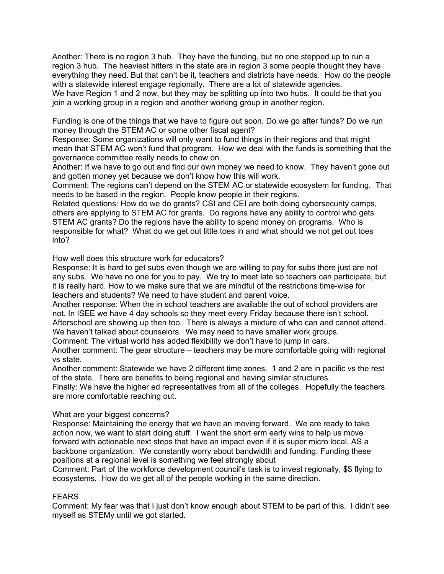Another: There is no region 3 hub. They have the funding, but no one stepped up to run a region 3 hub. The heaviest hitters in the state are in region 3 some people thought they have everything they need. But that can't be it, teachers and districts have needs. How do the people with a statewide interest engage regionally. There are a lot of statewide agencies. We have Region 1 and 2 now, but they may be splitting up into two hubs. It could be that you join a working group in a region and another working group in another region.

Funding is one of the things that we have to figure out soon. Do we go after funds? Do we run money through the STEM AC or some other fiscal agent?

Response: Some organizations will only want to fund things in their regions and that might mean that STEM AC won't fund that program. How we deal with the funds is something that the governance committee really needs to chew on.

Another: If we have to go out and find our own money we need to know. They haven't gone out and gotten money yet because we don't know how this will work.

Comment: The regions can't depend on the STEM AC or statewide ecosystem for funding. That needs to be based in the region. People know people in their regions.

Related questions: How do we do grants? CSI and CEI are both doing cybersecurity camps, others are applying to STEM AC for grants. Do regions have any ability to control who gets STEM AC grants? Do the regions have the ability to spend money on programs. Who is responsible for what? What do we get out little toes in and what should we not get out toes into?

How well does this structure work for educators?

Response: It is hard to get subs even though we are willing to pay for subs there just are not any subs. We have no one for you to pay. We try to meet late so teachers can participate, but it is really hard. How to we make sure that we are mindful of the restrictions time-wise for teachers and students? We need to have student and parent voice.

Another response: When the in school teachers are available the out of school providers are not. In ISEE we have 4 day schools so they meet every Friday because there isn't school. Afterschool are showing up then too. There is always a mixture of who can and cannot attend. We haven't talked about counselors. We may need to have smaller work groups.

Comment: The virtual world has added flexibility we don't have to jump in cars.

Another comment: The gear structure – teachers may be more comfortable going with regional vs state.

Another comment: Statewide we have 2 different time zones. 1 and 2 are in pacific vs the rest of the state. There are benefits to being regional and having similar structures.

Finally: We have the higher ed representatives from all of the colleges. Hopefully the teachers are more comfortable reaching out.

# What are your biggest concerns?

Response: Maintaining the energy that we have an moving forward. We are ready to take action now, we want to start doing stuff. I want the short erm early wins to help us move forward with actionable next steps that have an impact even if it is super micro local, AS a backbone organization. We constantly worry about bandwidth and funding. Funding these positions at a regional level is something we feel strongly about

Comment: Part of the workforce development council's task is to invest regionally, \$\$ flying to ecosystems. How do we get all of the people working in the same direction.

# FEARS

Comment: My fear was that I just don't know enough about STEM to be part of this. I didn't see myself as STEMy until we got started.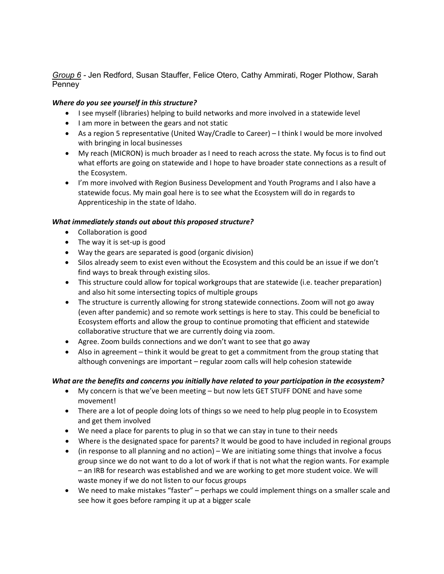*Group 6 -* Jen Redford, Susan Stauffer, Felice Otero, Cathy Ammirati, Roger Plothow, Sarah Penney

### *Where do you see yourself in this structure?*

- I see myself (libraries) helping to build networks and more involved in a statewide level
- I am more in between the gears and not static
- As a region 5 representative (United Way/Cradle to Career) I think I would be more involved with bringing in local businesses
- My reach (MICRON) is much broader as I need to reach across the state. My focus is to find out what efforts are going on statewide and I hope to have broader state connections as a result of the Ecosystem.
- I'm more involved with Region Business Development and Youth Programs and I also have a statewide focus. My main goal here is to see what the Ecosystem will do in regards to Apprenticeship in the state of Idaho.

### *What immediately stands out about this proposed structure?*

- Collaboration is good
- The way it is set-up is good
- Way the gears are separated is good (organic division)
- Silos already seem to exist even without the Ecosystem and this could be an issue if we don't find ways to break through existing silos.
- This structure could allow for topical workgroups that are statewide (i.e. teacher preparation) and also hit some intersecting topics of multiple groups
- The structure is currently allowing for strong statewide connections. Zoom will not go away (even after pandemic) and so remote work settings is here to stay. This could be beneficial to Ecosystem efforts and allow the group to continue promoting that efficient and statewide collaborative structure that we are currently doing via zoom.
- Agree. Zoom builds connections and we don't want to see that go away
- Also in agreement think it would be great to get a commitment from the group stating that although convenings are important – regular zoom calls will help cohesion statewide

### *What are the benefits and concerns you initially have related to your participation in the ecosystem?*

- My concern is that we've been meeting but now lets GET STUFF DONE and have some movement!
- There are a lot of people doing lots of things so we need to help plug people in to Ecosystem and get them involved
- We need a place for parents to plug in so that we can stay in tune to their needs
- Where is the designated space for parents? It would be good to have included in regional groups
- (in response to all planning and no action) We are initiating some things that involve a focus group since we do not want to do a lot of work if that is not what the region wants. For example – an IRB for research was established and we are working to get more student voice. We will waste money if we do not listen to our focus groups
- We need to make mistakes "faster" perhaps we could implement things on a smaller scale and see how it goes before ramping it up at a bigger scale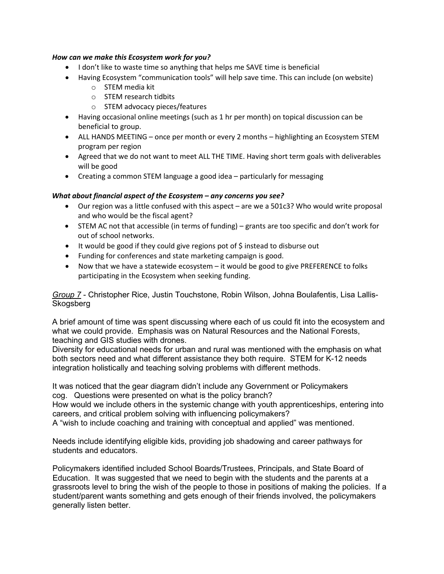#### *How can we make this Ecosystem work for you?*

- I don't like to waste time so anything that helps me SAVE time is beneficial
- Having Ecosystem "communication tools" will help save time. This can include (on website)
	- o STEM media kit
	- o STEM research tidbits
	- o STEM advocacy pieces/features
- Having occasional online meetings (such as 1 hr per month) on topical discussion can be beneficial to group.
- ALL HANDS MEETING once per month or every 2 months highlighting an Ecosystem STEM program per region
- Agreed that we do not want to meet ALL THE TIME. Having short term goals with deliverables will be good
- Creating a common STEM language a good idea particularly for messaging

### *What about financial aspect of the Ecosystem – any concerns you see?*

- Our region was a little confused with this aspect are we a 501c3? Who would write proposal and who would be the fiscal agent?
- STEM AC not that accessible (in terms of funding) grants are too specific and don't work for out of school networks.
- It would be good if they could give regions pot of \$ instead to disburse out
- Funding for conferences and state marketing campaign is good.
- Now that we have a statewide ecosystem it would be good to give PREFERENCE to folks participating in the Ecosystem when seeking funding.

*Group 7* - Christopher Rice, Justin Touchstone, Robin Wilson, Johna Boulafentis, Lisa Lallis-**Skogsberg** 

A brief amount of time was spent discussing where each of us could fit into the ecosystem and what we could provide. Emphasis was on Natural Resources and the National Forests, teaching and GIS studies with drones.

Diversity for educational needs for urban and rural was mentioned with the emphasis on what both sectors need and what different assistance they both require. STEM for K-12 needs integration holistically and teaching solving problems with different methods.

It was noticed that the gear diagram didn't include any Government or Policymakers cog. Questions were presented on what is the policy branch?

How would we include others in the systemic change with youth apprenticeships, entering into careers, and critical problem solving with influencing policymakers?

A "wish to include coaching and training with conceptual and applied" was mentioned.

Needs include identifying eligible kids, providing job shadowing and career pathways for students and educators.

Policymakers identified included School Boards/Trustees, Principals, and State Board of Education. It was suggested that we need to begin with the students and the parents at a grassroots level to bring the wish of the people to those in positions of making the policies. If a student/parent wants something and gets enough of their friends involved, the policymakers generally listen better.